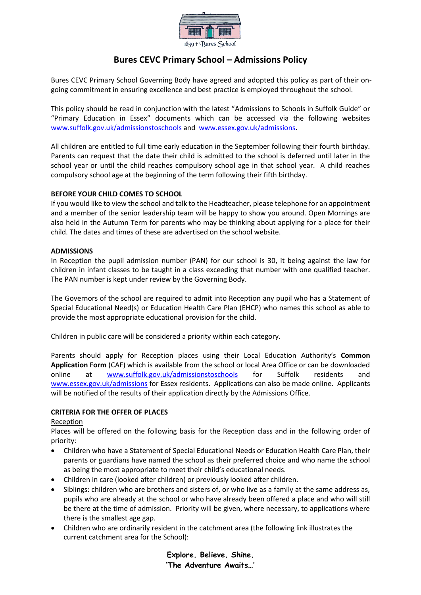

# **Bures CEVC Primary School – Admissions Policy**

Bures CEVC Primary School Governing Body have agreed and adopted this policy as part of their ongoing commitment in ensuring excellence and best practice is employed throughout the school.

This policy should be read in conjunction with the latest "Admissions to Schools in Suffolk Guide" or "Primary Education in Essex" documents which can be accessed via the following websites [www.suffolk.gov.uk/admissionstoschools](http://www.suffolk.gov.uk/admissionstoschools) and [www.essex.gov.uk/admissions.](http://www.essex.gov.uk/admissions)

All children are entitled to full time early education in the September following their fourth birthday. Parents can request that the date their child is admitted to the school is deferred until later in the school year or until the child reaches compulsory school age in that school year. A child reaches compulsory school age at the beginning of the term following their fifth birthday.

## **BEFORE YOUR CHILD COMES TO SCHOOL**

If you would like to view the school and talk to the Headteacher, please telephone for an appointment and a member of the senior leadership team will be happy to show you around. Open Mornings are also held in the Autumn Term for parents who may be thinking about applying for a place for their child. The dates and times of these are advertised on the school website.

### **ADMISSIONS**

In Reception the pupil admission number (PAN) for our school is 30, it being against the law for children in infant classes to be taught in a class exceeding that number with one qualified teacher. The PAN number is kept under review by the Governing Body.

The Governors of the school are required to admit into Reception any pupil who has a Statement of Special Educational Need(s) or Education Health Care Plan (EHCP) who names this school as able to provide the most appropriate educational provision for the child.

Children in public care will be considered a priority within each category.

Parents should apply for Reception places using their Local Education Authority's **Common Application Form** (CAF) which is available from the school or local Area Office or can be downloaded online at [www.suffolk.gov.uk/admissionstoschools](http://www.suffolk.gov.uk/admissionstoschools) for Suffolk residents and [www.essex.gov.uk/admissions](http://www.essex.gov.uk/admissions) for Essex residents. Applications can also be made online. Applicants will be notified of the results of their application directly by the Admissions Office.

### **CRITERIA FOR THE OFFER OF PLACES**

### Reception

Places will be offered on the following basis for the Reception class and in the following order of priority:

- Children who have a Statement of Special Educational Needs or Education Health Care Plan, their parents or guardians have named the school as their preferred choice and who name the school as being the most appropriate to meet their child's educational needs.
- Children in care (looked after children) or previously looked after children.
- Siblings: children who are brothers and sisters of, or who live as a family at the same address as, pupils who are already at the school or who have already been offered a place and who will still be there at the time of admission. Priority will be given, where necessary, to applications where there is the smallest age gap.
- Children who are ordinarily resident in the catchment area (the following link illustrates the current catchment area for the School):

**Explore. Believe. Shine. 'The Adventure Awaits…'**